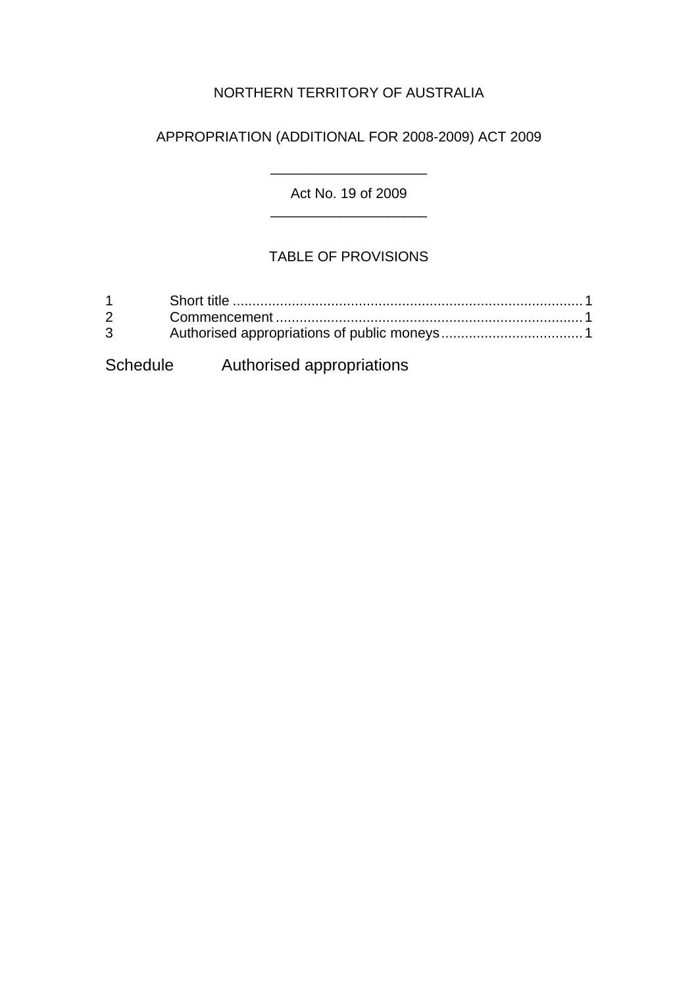# NORTHERN TERRITORY OF AUSTRALIA

### APPROPRIATION (ADDITIONAL FOR 2008-2009) ACT 2009

Act No. 19 of 2009 \_\_\_\_\_\_\_\_\_\_\_\_\_\_\_\_\_\_\_\_

\_\_\_\_\_\_\_\_\_\_\_\_\_\_\_\_\_\_\_\_

# TABLE OF PROVISIONS

| $1 \quad \blacksquare$<br>$\mathcal{P}$<br>$3^{\circ}$ |                                    |  |
|--------------------------------------------------------|------------------------------------|--|
|                                                        | Schedule Authorised appropriations |  |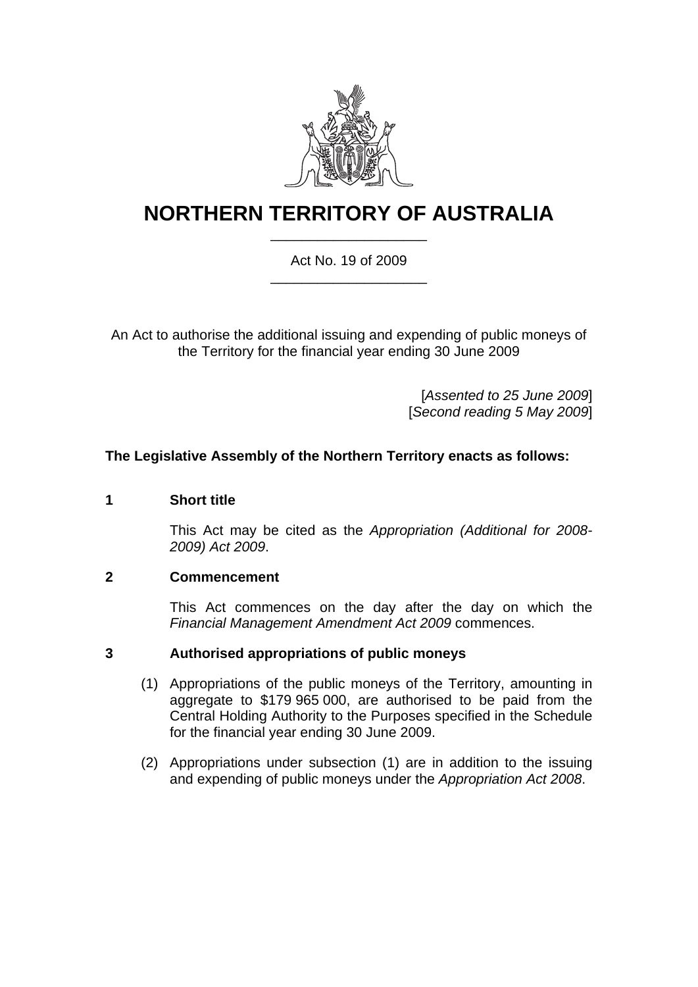

# **NORTHERN TERRITORY OF AUSTRALIA** \_\_\_\_\_\_\_\_\_\_\_\_\_\_\_\_\_\_\_\_

#### Act No. 19 of 2009 \_\_\_\_\_\_\_\_\_\_\_\_\_\_\_\_\_\_\_\_

An Act to authorise the additional issuing and expending of public moneys of the Territory for the financial year ending 30 June 2009

> [*Assented to 25 June 2009*] [*Second reading 5 May 2009*]

#### **The Legislative Assembly of the Northern Territory enacts as follows:**

#### <span id="page-1-0"></span>**1 Short title**

This Act may be cited as the *Appropriation (Additional for 2008- 2009) Act 2009*.

#### <span id="page-1-1"></span>**2 Commencement**

This Act commences on the day after the day on which the *Financial Management Amendment Act 2009* commences.

#### <span id="page-1-2"></span>**3 Authorised appropriations of public moneys**

- (1) Appropriations of the public moneys of the Territory, amounting in aggregate to \$179 965 000, are authorised to be paid from the Central Holding Authority to the Purposes specified in the Schedule for the financial year ending 30 June 2009.
- (2) Appropriations under subsection (1) are in addition to the issuing and expending of public moneys under the *Appropriation Act 2008*.